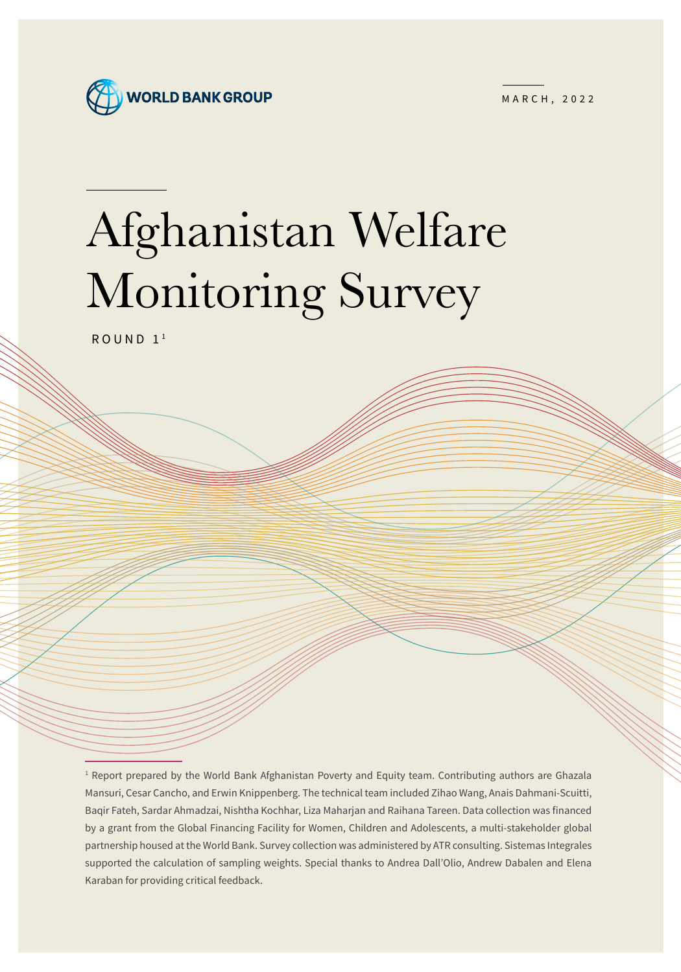

MARCH, 2022

# Afghanistan Welfare Monitoring Survey

 $ROUND<sub>1</sub>$ <sup>1</sup>

<sup>1</sup> Report prepared by the World Bank Afghanistan Poverty and Equity team. Contributing authors are Ghazala Mansuri, Cesar Cancho, and Erwin Knippenberg. The technical team included Zihao Wang, Anais Dahmani-Scuitti, Baqir Fateh, Sardar Ahmadzai, Nishtha Kochhar, Liza Maharjan and Raihana Tareen. Data collection was financed by a grant from the Global Financing Facility for Women, Children and Adolescents, a multi-stakeholder global partnership housed at the World Bank. Survey collection was administered by ATR consulting. Sistemas Integrales supported the calculation of sampling weights. Special thanks to Andrea Dall'Olio, Andrew Dabalen and Elena Karaban for providing critical feedback.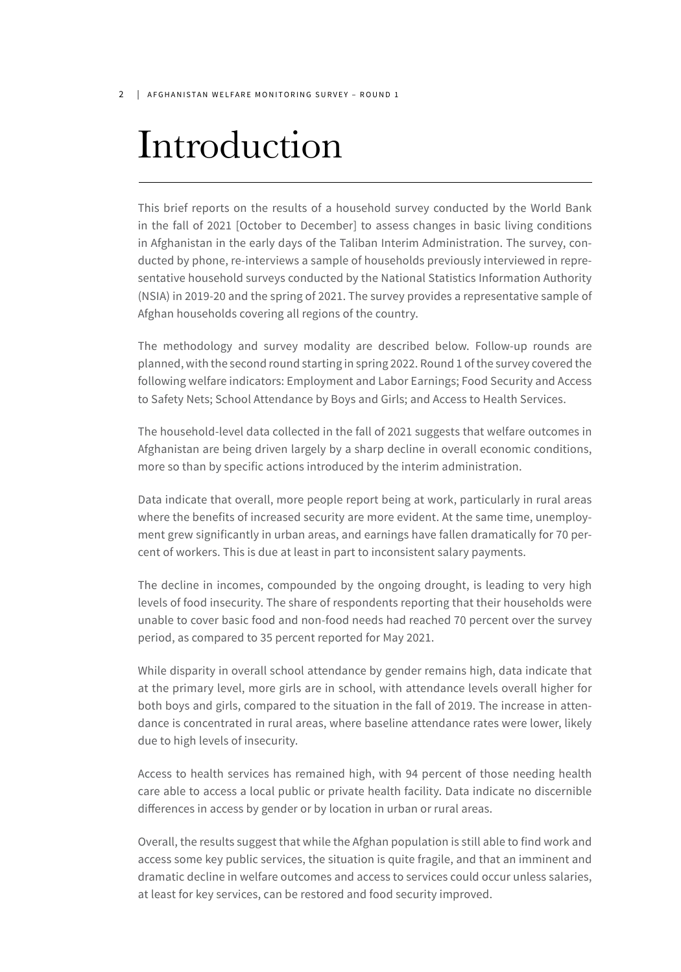#### 2 | AFGHANISTAN WELFARE MONITORING SURVEY - ROUND 1

## Introduction

This brief reports on the results of a household survey conducted by the World Bank in the fall of 2021 [October to December] to assess changes in basic living conditions in Afghanistan in the early days of the Taliban Interim Administration. The survey, conducted by phone, re-interviews a sample of households previously interviewed in representative household surveys conducted by the National Statistics Information Authority (NSIA) in 2019-20 and the spring of 2021. The survey provides a representative sample of Afghan households covering all regions of the country.

The methodology and survey modality are described below. Follow-up rounds are planned, with the second round starting in spring 2022. Round 1 of the survey covered the following welfare indicators: Employment and Labor Earnings; Food Security and Access to Safety Nets; School Attendance by Boys and Girls; and Access to Health Services.

The household-level data collected in the fall of 2021 suggests that welfare outcomes in Afghanistan are being driven largely by a sharp decline in overall economic conditions, more so than by specific actions introduced by the interim administration.

Data indicate that overall, more people report being at work, particularly in rural areas where the benefits of increased security are more evident. At the same time, unemployment grew significantly in urban areas, and earnings have fallen dramatically for 70 percent of workers. This is due at least in part to inconsistent salary payments.

The decline in incomes, compounded by the ongoing drought, is leading to very high levels of food insecurity. The share of respondents reporting that their households were unable to cover basic food and non-food needs had reached 70 percent over the survey period, as compared to 35 percent reported for May 2021.

While disparity in overall school attendance by gender remains high, data indicate that at the primary level, more girls are in school, with attendance levels overall higher for both boys and girls, compared to the situation in the fall of 2019. The increase in attendance is concentrated in rural areas, where baseline attendance rates were lower, likely due to high levels of insecurity.

Access to health services has remained high, with 94 percent of those needing health care able to access a local public or private health facility. Data indicate no discernible differences in access by gender or by location in urban or rural areas.

Overall, the results suggest that while the Afghan population is still able to find work and access some key public services, the situation is quite fragile, and that an imminent and dramatic decline in welfare outcomes and access to services could occur unless salaries, at least for key services, can be restored and food security improved.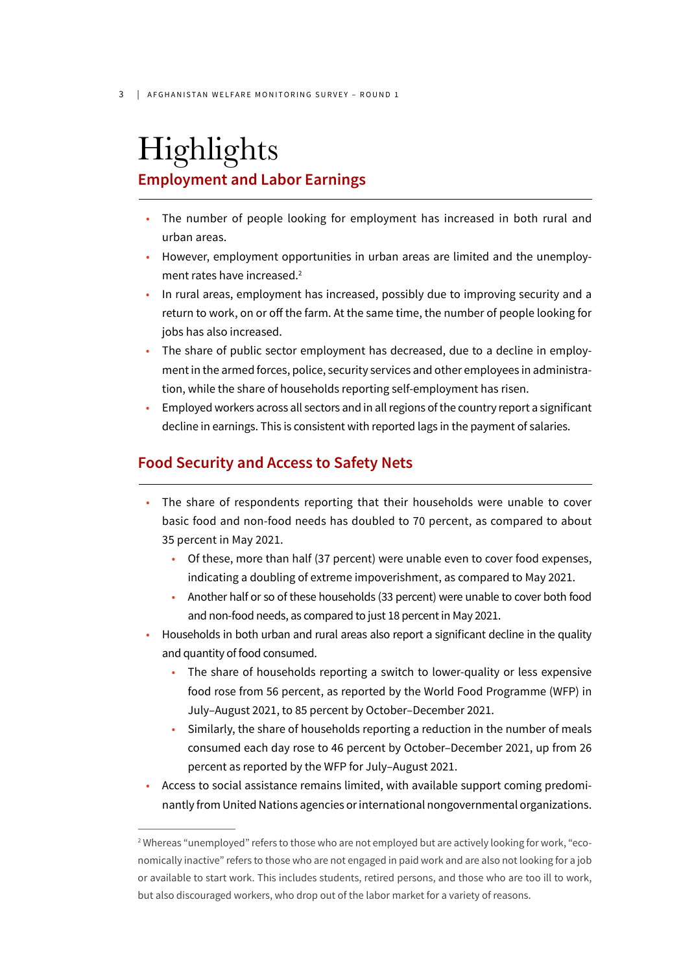## Highlights **Employment and Labor Earnings**

- The number of people looking for employment has increased in both rural and urban areas.
- However, employment opportunities in urban areas are limited and the unemployment rates have increased.2
- In rural areas, employment has increased, possibly due to improving security and a return to work, on or off the farm. At the same time, the number of people looking for jobs has also increased.
- The share of public sector employment has decreased, due to a decline in employment in the armed forces, police, security services and other employees in administration, while the share of households reporting self-employment has risen.
- Employed workers across all sectors and in all regions of the country report a significant decline in earnings. This is consistent with reported lags in the payment of salaries.

#### **Food Security and Access to Safety Nets**

- The share of respondents reporting that their households were unable to cover basic food and non-food needs has doubled to 70 percent, as compared to about 35 percent in May 2021.
	- Of these, more than half (37 percent) were unable even to cover food expenses, indicating a doubling of extreme impoverishment, as compared to May 2021.
	- Another half or so of these households (33 percent) were unable to cover both food and non-food needs, as compared to just 18 percent in May 2021.
- Households in both urban and rural areas also report a significant decline in the quality and quantity of food consumed.
	- The share of households reporting a switch to lower-quality or less expensive food rose from 56 percent, as reported by the World Food Programme (WFP) in July–August 2021, to 85 percent by October–December 2021.
	- Similarly, the share of households reporting a reduction in the number of meals consumed each day rose to 46 percent by October–December 2021, up from 26 percent as reported by the WFP for July–August 2021.
- Access to social assistance remains limited, with available support coming predominantly from United Nations agencies or international nongovernmental organizations.

<sup>2</sup> Whereas "unemployed" refers to those who are not employed but are actively looking for work, "economically inactive" refers to those who are not engaged in paid work and are also not looking for a job or available to start work. This includes students, retired persons, and those who are too ill to work, but also discouraged workers, who drop out of the labor market for a variety of reasons.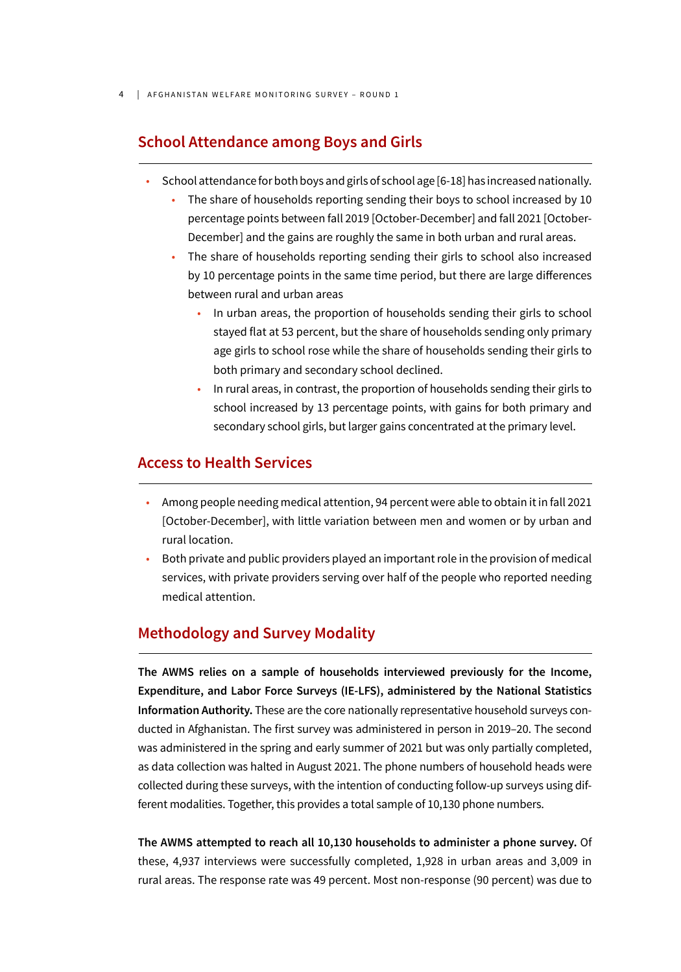4 | AFGHANISTAN WELFARE MONITORING SURVEY – ROUND 1

#### **School Attendance among Boys and Girls**

- School attendance for both boys and girls of school age [6-18] has increased nationally.
	- The share of households reporting sending their boys to school increased by 10 percentage points between fall 2019 [October-December] and fall 2021 [October-December] and the gains are roughly the same in both urban and rural areas.
	- The share of households reporting sending their girls to school also increased by 10 percentage points in the same time period, but there are large differences between rural and urban areas
		- In urban areas, the proportion of households sending their girls to school stayed flat at 53 percent, but the share of households sending only primary age girls to school rose while the share of households sending their girls to both primary and secondary school declined.
		- In rural areas, in contrast, the proportion of households sending their girls to school increased by 13 percentage points, with gains for both primary and secondary school girls, but larger gains concentrated at the primary level.

#### **Access to Health Services**

- Among people needing medical attention, 94 percent were able to obtain it in fall 2021 [October-December], with little variation between men and women or by urban and rural location.
- Both private and public providers played an important role in the provision of medical services, with private providers serving over half of the people who reported needing medical attention.

#### **Methodology and Survey Modality**

**The AWMS relies on a sample of households interviewed previously for the Income, Expenditure, and Labor Force Surveys (IE-LFS), administered by the National Statistics Information Authority.** These are the core nationally representative household surveys conducted in Afghanistan. The first survey was administered in person in 2019–20. The second was administered in the spring and early summer of 2021 but was only partially completed, as data collection was halted in August 2021. The phone numbers of household heads were collected during these surveys, with the intention of conducting follow-up surveys using different modalities. Together, this provides a total sample of 10,130 phone numbers.

**The AWMS attempted to reach all 10,130 households to administer a phone survey.** Of these, 4,937 interviews were successfully completed, 1,928 in urban areas and 3,009 in rural areas. The response rate was 49 percent. Most non-response (90 percent) was due to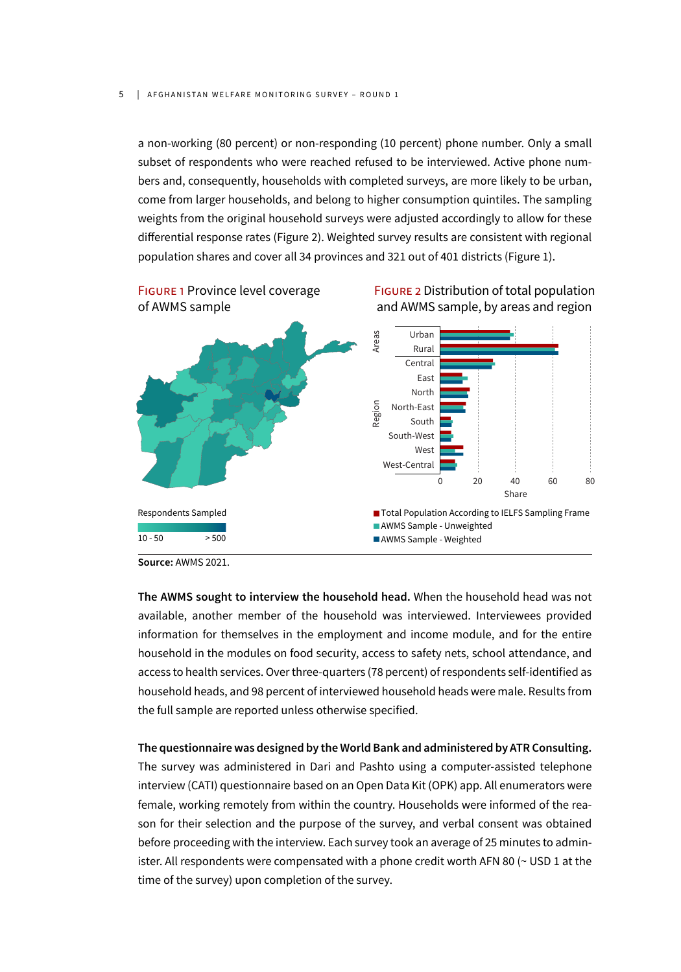a non-working (80 percent) or non-responding (10 percent) phone number. Only a small subset of respondents who were reached refused to be interviewed. Active phone numbers and, consequently, households with completed surveys, are more likely to be urban, come from larger households, and belong to higher consumption quintiles. The sampling weights from the original household surveys were adjusted accordingly to allow for these differential response rates (Figure 2). Weighted survey results are consistent with regional population shares and cover all 34 provinces and 321 out of 401 districts (Figure 1).



**Source:** AWMS 2021.

**The AWMS sought to interview the household head.** When the household head was not available, another member of the household was interviewed. Interviewees provided information for themselves in the employment and income module, and for the entire household in the modules on food security, access to safety nets, school attendance, and access to health services. Over three-quarters (78 percent) of respondents self-identified as household heads, and 98 percent of interviewed household heads were male. Results from the full sample are reported unless otherwise specified.

**The questionnaire was designed by the World Bank and administered by ATR Consulting.** The survey was administered in Dari and Pashto using a computer-assisted telephone interview (CATI) questionnaire based on an Open Data Kit (OPK) app. All enumerators were female, working remotely from within the country. Households were informed of the reason for their selection and the purpose of the survey, and verbal consent was obtained before proceeding with the interview. Each survey took an average of 25 minutes to administer. All respondents were compensated with a phone credit worth AFN 80 (~ USD 1 at the time of the survey) upon completion of the survey.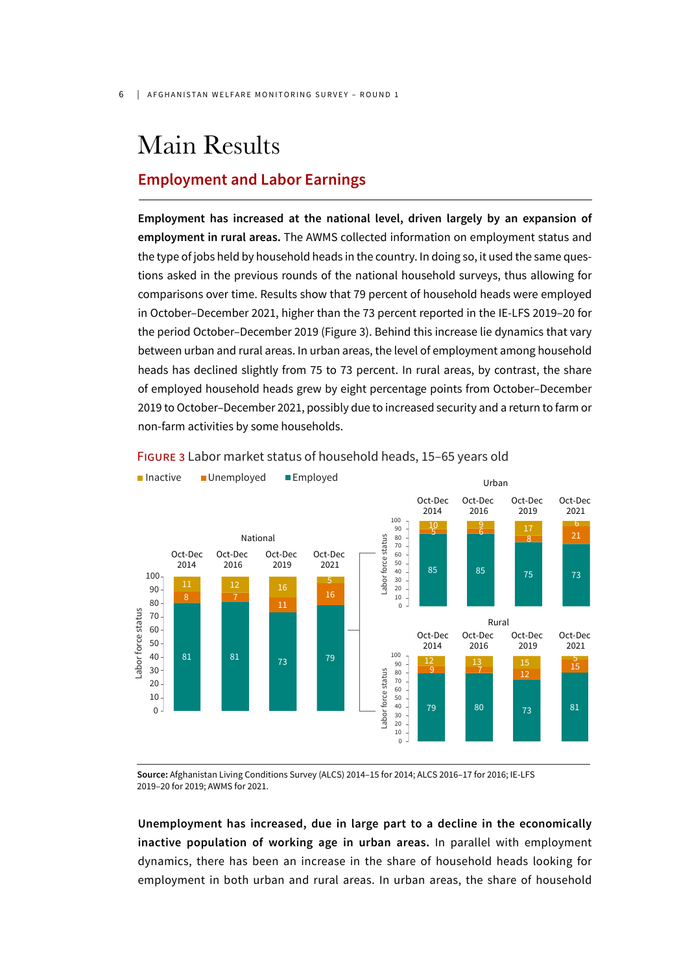### Main Results

#### **Employment and Labor Earnings**

**Employment has increased at the national level, driven largely by an expansion of employment in rural areas.** The AWMS collected information on employment status and the type of jobs held by household heads in the country. In doing so, it used the same questions asked in the previous rounds of the national household surveys, thus allowing for comparisons over time. Results show that 79 percent of household heads were employed in October–December 2021, higher than the 73 percent reported in the IE-LFS 2019–20 for the period October–December 2019 (Figure 3). Behind this increase lie dynamics that vary between urban and rural areas. In urban areas, the level of employment among household heads has declined slightly from 75 to 73 percent. In rural areas, by contrast, the share of employed household heads grew by eight percentage points from October–December 2019 to October–December 2021, possibly due to increased security and a return to farm or non-farm activities by some households.



FIGURE 3 Labor market status of household heads, 15–65 years old

**Source:** Afghanistan Living Conditions Survey (ALCS) 2014–15 for 2014; ALCS 2016–17 for 2016; IE-LFS 2019–20 for 2019; AWMS for 2021.

**Unemployment has increased, due in large part to a decline in the economically inactive population of working age in urban areas.** In parallel with employment dynamics, there has been an increase in the share of household heads looking for employment in both urban and rural areas. In urban areas, the share of household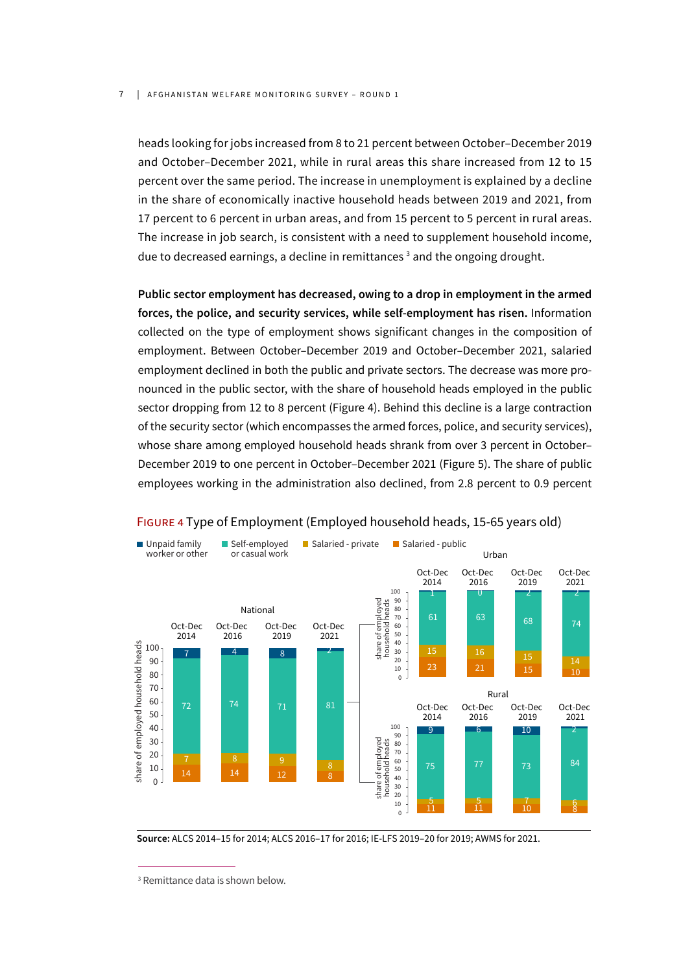#### 7 | AFGHANISTAN WELFARE MONITORING SURVEY – ROUND 1

heads looking for jobs increased from 8 to 21 percent between October–December 2019 and October–December 2021, while in rural areas this share increased from 12 to 15 percent over the same period. The increase in unemployment is explained by a decline in the share of economically inactive household heads between 2019 and 2021, from 17 percent to 6 percent in urban areas, and from 15 percent to 5 percent in rural areas. The increase in job search, is consistent with a need to supplement household income, due to decreased earnings, a decline in remittances<sup>3</sup> and the ongoing drought.

**Public sector employment has decreased, owing to a drop in employment in the armed forces, the police, and security services, while self-employment has risen.** Information collected on the type of employment shows significant changes in the composition of employment. Between October–December 2019 and October–December 2021, salaried employment declined in both the public and private sectors. The decrease was more pronounced in the public sector, with the share of household heads employed in the public sector dropping from 12 to 8 percent (Figure 4). Behind this decline is a large contraction of the security sector (which encompasses the armed forces, police, and security services), whose share among employed household heads shrank from over 3 percent in October– December 2019 to one percent in October–December 2021 (Figure 5). The share of public employees working in the administration also declined, from 2.8 percent to 0.9 percent



#### FIGURE 4 Type of Employment (Employed household heads, 15-65 years old)

**Source:** ALCS 2014–15 for 2014; ALCS 2016–17 for 2016; IE-LFS 2019–20 for 2019; AWMS for 2021.

<sup>3</sup> Remittance data is shown below.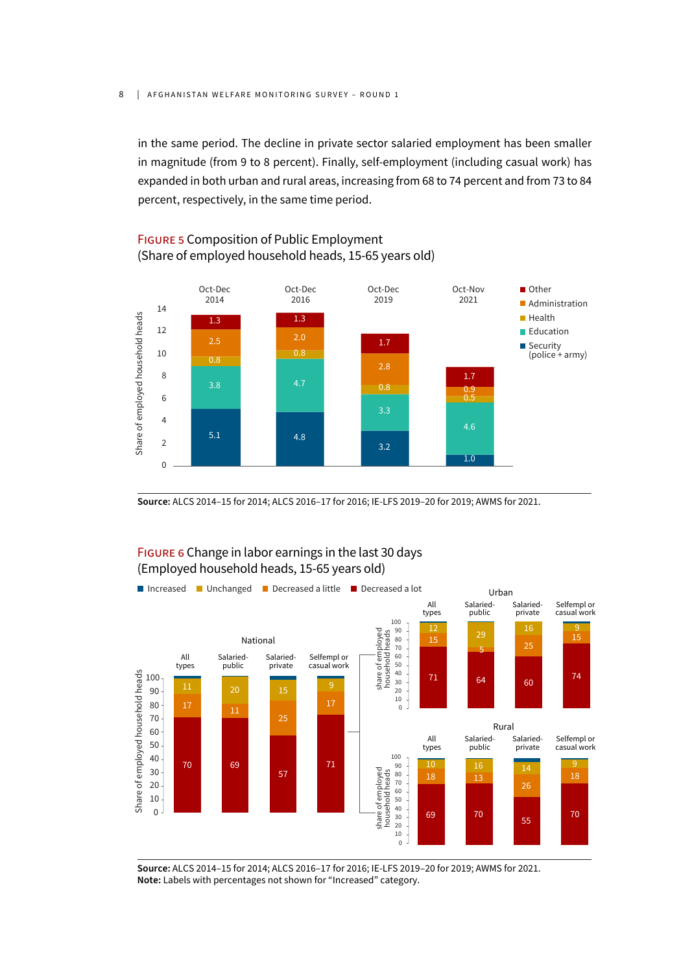in the same period. The decline in private sector salaried employment has been smaller in magnitude (from 9 to 8 percent). Finally, self-employment (including casual work) has expanded in both urban and rural areas, increasing from 68 to 74 percent and from 73 to 84 percent, respectively, in the same time period.

#### FIGURE 5 Composition of Public Employment (Share of employed household heads, 15-65 years old)



**Source:** ALCS 2014–15 for 2014; ALCS 2016–17 for 2016; IE-LFS 2019–20 for 2019; AWMS for 2021.

#### FIGURE 6 Change in labor earnings in the last 30 days (Employed household heads, 15-65 years old)



**Source:** ALCS 2014–15 for 2014; ALCS 2016–17 for 2016; IE-LFS 2019–20 for 2019; AWMS for 2021. **Note:** Labels with percentages not shown for "Increased" category.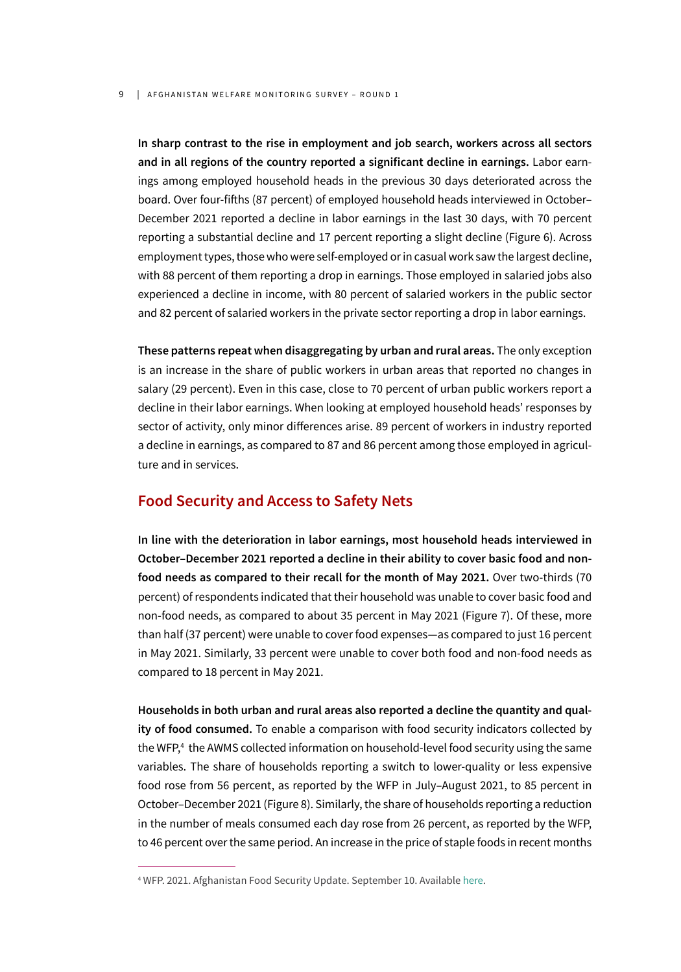#### 9 | AFGHANISTAN WELFARE MONITORING SURVEY - ROUND 1

**In sharp contrast to the rise in employment and job search, workers across all sectors and in all regions of the country reported a significant decline in earnings.** Labor earnings among employed household heads in the previous 30 days deteriorated across the board. Over four-fifths (87 percent) of employed household heads interviewed in October– December 2021 reported a decline in labor earnings in the last 30 days, with 70 percent reporting a substantial decline and 17 percent reporting a slight decline (Figure 6). Across employment types, those who were self-employed or in casual work saw the largest decline, with 88 percent of them reporting a drop in earnings. Those employed in salaried jobs also experienced a decline in income, with 80 percent of salaried workers in the public sector and 82 percent of salaried workers in the private sector reporting a drop in labor earnings.

**These patterns repeat when disaggregating by urban and rural areas.** The only exception is an increase in the share of public workers in urban areas that reported no changes in salary (29 percent). Even in this case, close to 70 percent of urban public workers report a decline in their labor earnings. When looking at employed household heads' responses by sector of activity, only minor differences arise. 89 percent of workers in industry reported a decline in earnings, as compared to 87 and 86 percent among those employed in agriculture and in services.

#### **Food Security and Access to Safety Nets**

**In line with the deterioration in labor earnings, most household heads interviewed in October–December 2021 reported a decline in their ability to cover basic food and nonfood needs as compared to their recall for the month of May 2021.** Over two-thirds (70 percent) of respondents indicated that their household was unable to cover basic food and non-food needs, as compared to about 35 percent in May 2021 (Figure 7). Of these, more than half (37 percent) were unable to cover food expenses—as compared to just 16 percent in May 2021. Similarly, 33 percent were unable to cover both food and non-food needs as compared to 18 percent in May 2021.

**Households in both urban and rural areas also reported a decline the quantity and quality of food consumed.** To enable a comparison with food security indicators collected by the WFP,4 the AWMS collected information on household-level food security using the same variables. The share of households reporting a switch to lower-quality or less expensive food rose from 56 percent, as reported by the WFP in July–August 2021, to 85 percent in October–December 2021 (Figure 8). Similarly, the share of households reporting a reduction in the number of meals consumed each day rose from 26 percent, as reported by the WFP, to 46 percent over the same period. An increase in the price of staple foods in recent months

<sup>4</sup> WFP. 2021. Afghanistan Food Security Update. September 10. Available here.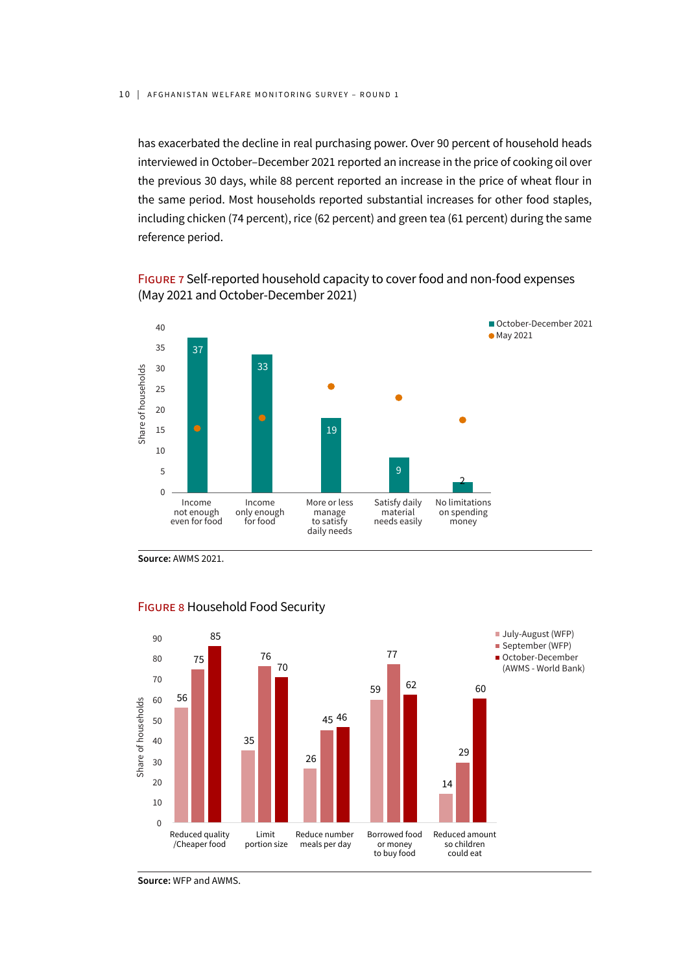has exacerbated the decline in real purchasing power. Over 90 percent of household heads interviewed in October–December 2021 reported an increase in the price of cooking oil over the previous 30 days, while 88 percent reported an increase in the price of wheat flour in the same period. Most households reported substantial increases for other food staples, including chicken (74 percent), rice (62 percent) and green tea (61 percent) during the same reference period.

FIGURE 7 Self-reported household capacity to cover food and non-food expenses (May 2021 and October-December 2021)



**Source:** AWMS 2021.



#### FIGURE 8 Household Food Security

**Source:** WFP and AWMS.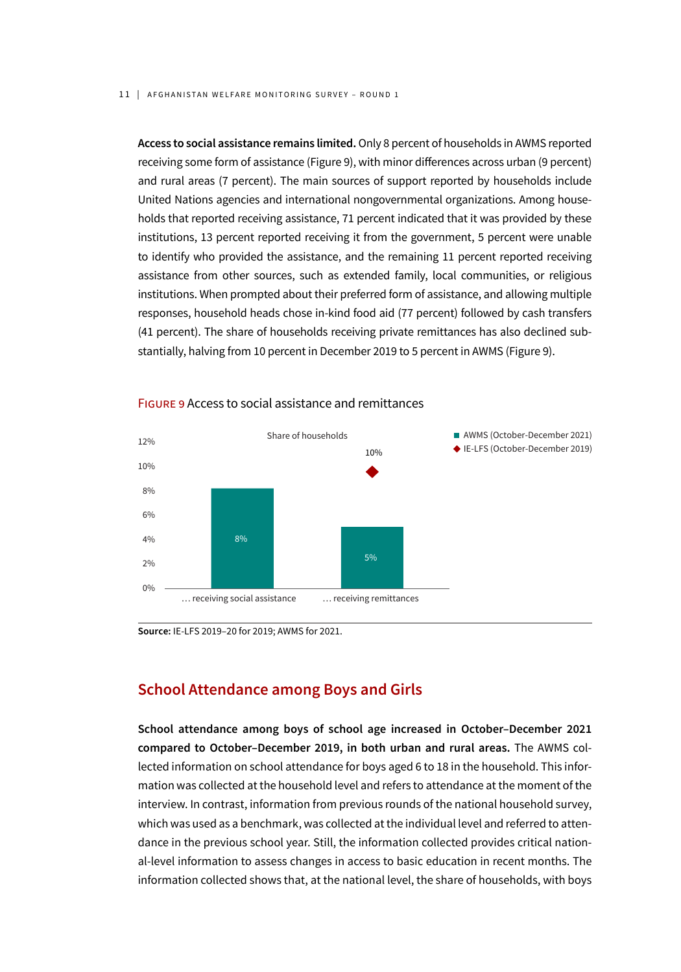**Access to social assistance remains limited.** Only 8 percent of households in AWMS reported receiving some form of assistance (Figure 9), with minor differences across urban (9 percent) and rural areas (7 percent). The main sources of support reported by households include United Nations agencies and international nongovernmental organizations. Among households that reported receiving assistance, 71 percent indicated that it was provided by these institutions, 13 percent reported receiving it from the government, 5 percent were unable to identify who provided the assistance, and the remaining 11 percent reported receiving assistance from other sources, such as extended family, local communities, or religious institutions. When prompted about their preferred form of assistance, and allowing multiple responses, household heads chose in-kind food aid (77 percent) followed by cash transfers (41 percent). The share of households receiving private remittances has also declined substantially, halving from 10 percent in December 2019 to 5 percent in AWMS (Figure 9).



#### FIGURE 9 Access to social assistance and remittances

**Source:** IE-LFS 2019–20 for 2019; AWMS for 2021.

#### **School Attendance among Boys and Girls**

**School attendance among boys of school age increased in October–December 2021 compared to October–December 2019, in both urban and rural areas.** The AWMS collected information on school attendance for boys aged 6 to 18 in the household. This information was collected at the household level and refers to attendance at the moment of the interview. In contrast, information from previous rounds of the national household survey, which was used as a benchmark, was collected at the individual level and referred to attendance in the previous school year. Still, the information collected provides critical national-level information to assess changes in access to basic education in recent months. The information collected shows that, at the national level, the share of households, with boys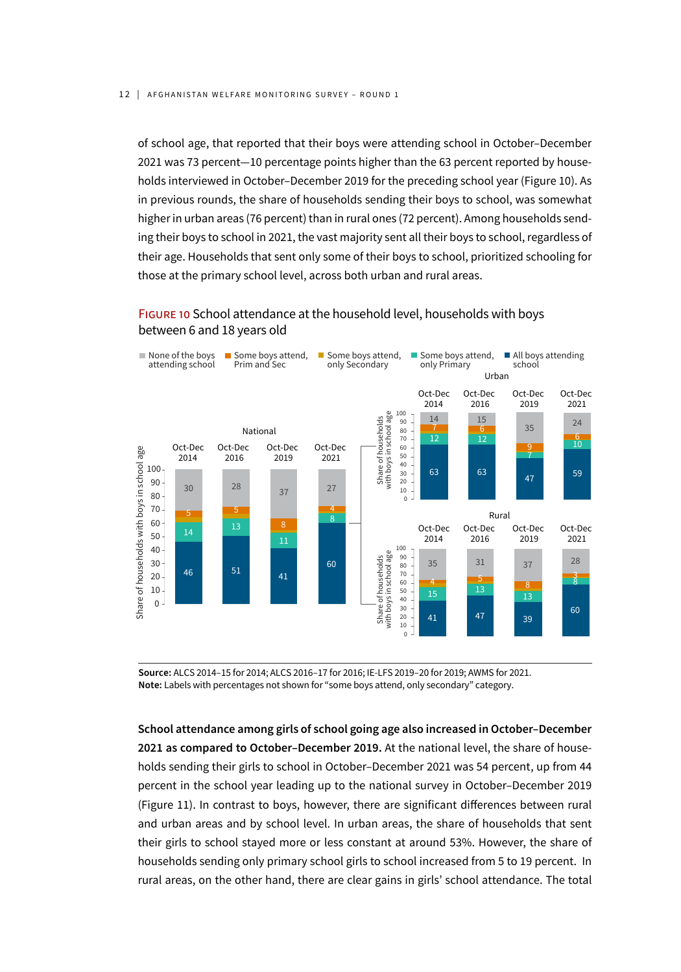of school age, that reported that their boys were attending school in October–December 2021 was 73 percent—10 percentage points higher than the 63 percent reported by households interviewed in October–December 2019 for the preceding school year (Figure 10). As in previous rounds, the share of households sending their boys to school, was somewhat higher in urban areas (76 percent) than in rural ones (72 percent). Among households sending their boys to school in 2021, the vast majority sent all their boys to school, regardless of their age. Households that sent only some of their boys to school, prioritized schooling for those at the primary school level, across both urban and rural areas.

#### FIGURE 10 School attendance at the household level, households with boys between 6 and 18 years old



**Source:** ALCS 2014–15 for 2014; ALCS 2016–17 for 2016; IE-LFS 2019–20 for 2019; AWMS for 2021. **Note:** Labels with percentages not shown for "some boys attend, only secondary" category.

**School attendance among girls of school going age also increased in October–December 2021 as compared to October–December 2019.** At the national level, the share of households sending their girls to school in October–December 2021 was 54 percent, up from 44 percent in the school year leading up to the national survey in October–December 2019 (Figure 11). In contrast to boys, however, there are significant differences between rural and urban areas and by school level. In urban areas, the share of households that sent their girls to school stayed more or less constant at around 53%. However, the share of households sending only primary school girls to school increased from 5 to 19 percent. In rural areas, on the other hand, there are clear gains in girls' school attendance. The total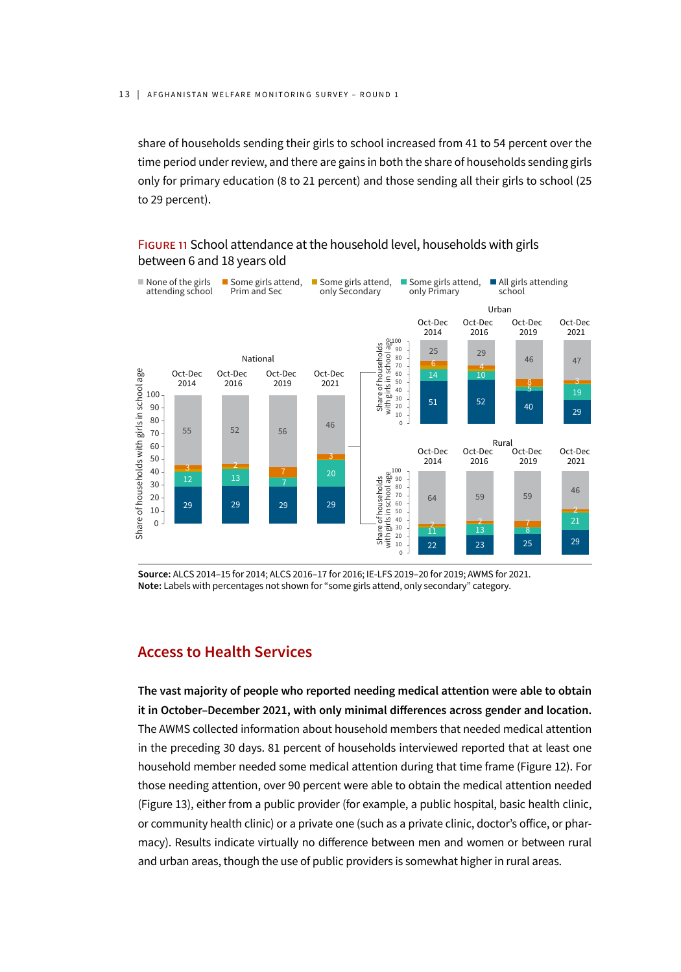share of households sending their girls to school increased from 41 to 54 percent over the time period under review, and there are gains in both the share of households sending girls only for primary education (8 to 21 percent) and those sending all their girls to school (25 to 29 percent).



#### FIGURE 11 School attendance at the household level, households with girls between 6 and 18 years old

**Source:** ALCS 2014–15 for 2014; ALCS 2016–17 for 2016; IE-LFS 2019–20 for 2019; AWMS for 2021. **Note:** Labels with percentages not shown for "some girls attend, only secondary" category.

#### **Access to Health Services**

**The vast majority of people who reported needing medical attention were able to obtain it in October–December 2021, with only minimal differences across gender and location.** The AWMS collected information about household members that needed medical attention in the preceding 30 days. 81 percent of households interviewed reported that at least one household member needed some medical attention during that time frame (Figure 12). For those needing attention, over 90 percent were able to obtain the medical attention needed (Figure 13), either from a public provider (for example, a public hospital, basic health clinic, or community health clinic) or a private one (such as a private clinic, doctor's office, or pharmacy). Results indicate virtually no difference between men and women or between rural and urban areas, though the use of public providers is somewhat higher in rural areas.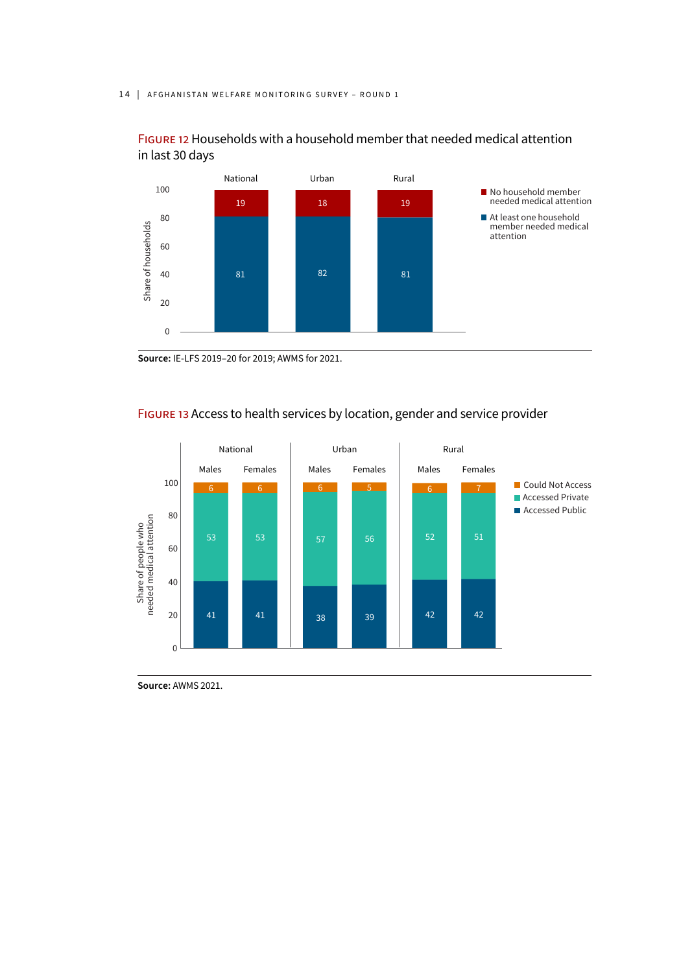#### 14 | AFGHANISTAN WELFARE MONITORING SURVEY - ROUND 1





**Source:** IE-LFS 2019–20 for 2019; AWMS for 2021.



#### FIGURE 13 Access to health services by location, gender and service provider

**Source:** AWMS 2021.